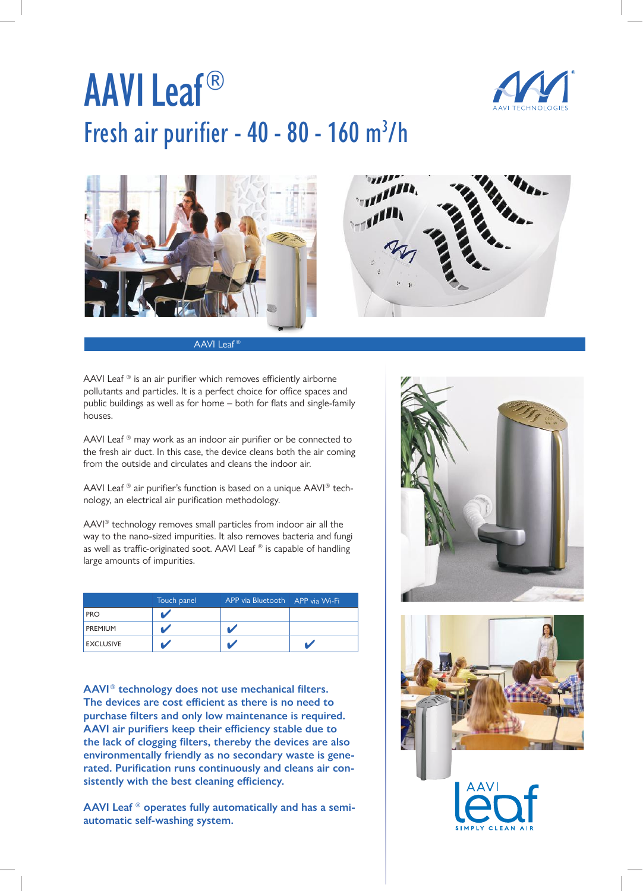## AAVI Leaf® Fresh air purifier -  $40 - 80 - 160$  m<sup>3</sup>/h





AAVI Leaf<sup>®</sup>

AAVI Leaf  $\mathbb{R}$  is an air purifier which removes efficiently airborne pollutants and particles. It is a perfect choice for office spaces and public buildings as well as for home – both for flats and single-family houses.

AAVI Leaf ® may work as an indoor air purifier or be connected to the fresh air duct. In this case, the device cleans both the air coming from the outside and circulates and cleans the indoor air.

AAVI Leaf ® air purifier's function is based on a unique AAVI® technology, an electrical air purification methodology.

AAVI® technology removes small particles from indoor air all the way to the nano-sized impurities. It also removes bacteria and fungi as well as traffic-originated soot. AAVI Leaf ® is capable of handling large amounts of impurities.

|                  | Touch panel | APP via Bluetooth APP via Wi-Fi |  |
|------------------|-------------|---------------------------------|--|
| <b>PRO</b>       |             |                                 |  |
| PREMIUM          |             |                                 |  |
| <b>EXCLUSIVE</b> |             |                                 |  |

**AAVI® technology does not use mechanical filters. The devices are cost efficient as there is no need to purchase filters and only low maintenance is required. AAVI air purifiers keep their efficiency stable due to the lack of clogging filters, thereby the devices are also environmentally friendly as no secondary waste is generated. Purification runs continuously and cleans air consistently with the best cleaning efficiency.** 

**AAVI Leaf ® operates fully automatically and has a semiautomatic self-washing system.**